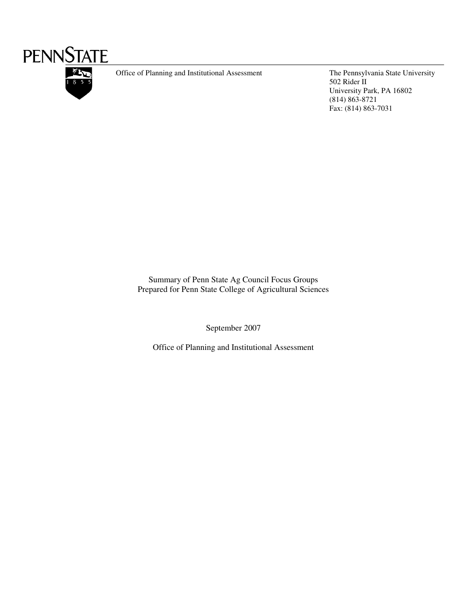

Office of Planning and Institutional Assessment The Pennsylvania State University

502 Rider II University Park, PA 16802 (814) 863-8721 Fax: (814) 863-7031

Summary of Penn State Ag Council Focus Groups Prepared for Penn State College of Agricultural Sciences

September 2007

Office of Planning and Institutional Assessment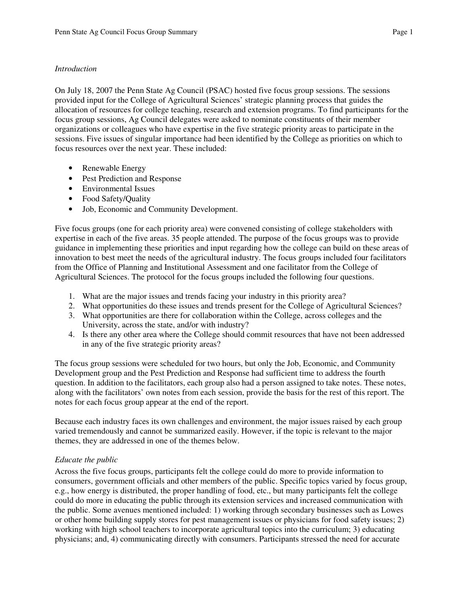# *Introduction*

On July 18, 2007 the Penn State Ag Council (PSAC) hosted five focus group sessions. The sessions provided input for the College of Agricultural Sciences' strategic planning process that guides the allocation of resources for college teaching, research and extension programs. To find participants for the focus group sessions, Ag Council delegates were asked to nominate constituents of their member organizations or colleagues who have expertise in the five strategic priority areas to participate in the sessions. Five issues of singular importance had been identified by the College as priorities on which to focus resources over the next year. These included:

- Renewable Energy
- Pest Prediction and Response
- Environmental Issues
- Food Safety/Quality
- Job, Economic and Community Development.

Five focus groups (one for each priority area) were convened consisting of college stakeholders with expertise in each of the five areas. 35 people attended. The purpose of the focus groups was to provide guidance in implementing these priorities and input regarding how the college can build on these areas of innovation to best meet the needs of the agricultural industry. The focus groups included four facilitators from the Office of Planning and Institutional Assessment and one facilitator from the College of Agricultural Sciences. The protocol for the focus groups included the following four questions.

- 1. What are the major issues and trends facing your industry in this priority area?
- 2. What opportunities do these issues and trends present for the College of Agricultural Sciences?
- 3. What opportunities are there for collaboration within the College, across colleges and the University, across the state, and/or with industry?
- 4. Is there any other area where the College should commit resources that have not been addressed in any of the five strategic priority areas?

The focus group sessions were scheduled for two hours, but only the Job, Economic, and Community Development group and the Pest Prediction and Response had sufficient time to address the fourth question. In addition to the facilitators, each group also had a person assigned to take notes. These notes, along with the facilitators' own notes from each session, provide the basis for the rest of this report. The notes for each focus group appear at the end of the report.

Because each industry faces its own challenges and environment, the major issues raised by each group varied tremendously and cannot be summarized easily. However, if the topic is relevant to the major themes, they are addressed in one of the themes below.

# *Educate the public*

Across the five focus groups, participants felt the college could do more to provide information to consumers, government officials and other members of the public. Specific topics varied by focus group, e.g., how energy is distributed, the proper handling of food, etc., but many participants felt the college could do more in educating the public through its extension services and increased communication with the public. Some avenues mentioned included: 1) working through secondary businesses such as Lowes or other home building supply stores for pest management issues or physicians for food safety issues; 2) working with high school teachers to incorporate agricultural topics into the curriculum; 3) educating physicians; and, 4) communicating directly with consumers. Participants stressed the need for accurate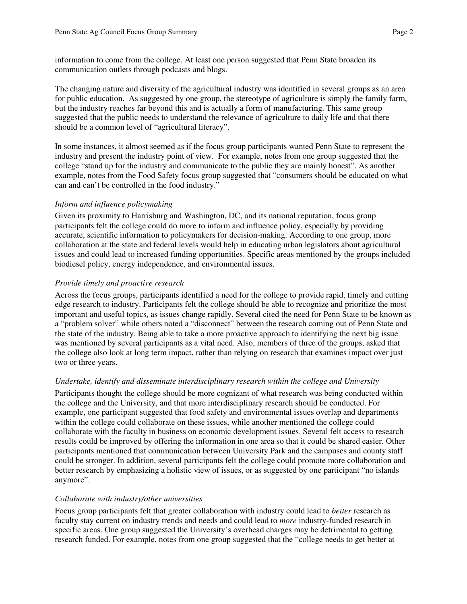information to come from the college. At least one person suggested that Penn State broaden its communication outlets through podcasts and blogs.

The changing nature and diversity of the agricultural industry was identified in several groups as an area for public education. As suggested by one group, the stereotype of agriculture is simply the family farm, but the industry reaches far beyond this and is actually a form of manufacturing. This same group suggested that the public needs to understand the relevance of agriculture to daily life and that there should be a common level of "agricultural literacy".

In some instances, it almost seemed as if the focus group participants wanted Penn State to represent the industry and present the industry point of view. For example, notes from one group suggested that the college "stand up for the industry and communicate to the public they are mainly honest". As another example, notes from the Food Safety focus group suggested that "consumers should be educated on what can and can't be controlled in the food industry."

# *Inform and influence policymaking*

Given its proximity to Harrisburg and Washington, DC, and its national reputation, focus group participants felt the college could do more to inform and influence policy, especially by providing accurate, scientific information to policymakers for decision-making. According to one group, more collaboration at the state and federal levels would help in educating urban legislators about agricultural issues and could lead to increased funding opportunities. Specific areas mentioned by the groups included biodiesel policy, energy independence, and environmental issues.

# *Provide timely and proactive research*

Across the focus groups, participants identified a need for the college to provide rapid, timely and cutting edge research to industry. Participants felt the college should be able to recognize and prioritize the most important and useful topics, as issues change rapidly. Several cited the need for Penn State to be known as a "problem solver" while others noted a "disconnect" between the research coming out of Penn State and the state of the industry. Being able to take a more proactive approach to identifying the next big issue was mentioned by several participants as a vital need. Also, members of three of the groups, asked that the college also look at long term impact, rather than relying on research that examines impact over just two or three years.

## *Undertake, identify and disseminate interdisciplinary research within the college and University*

Participants thought the college should be more cognizant of what research was being conducted within the college and the University, and that more interdisciplinary research should be conducted. For example, one participant suggested that food safety and environmental issues overlap and departments within the college could collaborate on these issues, while another mentioned the college could collaborate with the faculty in business on economic development issues. Several felt access to research results could be improved by offering the information in one area so that it could be shared easier. Other participants mentioned that communication between University Park and the campuses and county staff could be stronger. In addition, several participants felt the college could promote more collaboration and better research by emphasizing a holistic view of issues, or as suggested by one participant "no islands anymore".

# *Collaborate with industry/other universities*

Focus group participants felt that greater collaboration with industry could lead to *better* research as faculty stay current on industry trends and needs and could lead to *more* industry-funded research in specific areas. One group suggested the University's overhead charges may be detrimental to getting research funded. For example, notes from one group suggested that the "college needs to get better at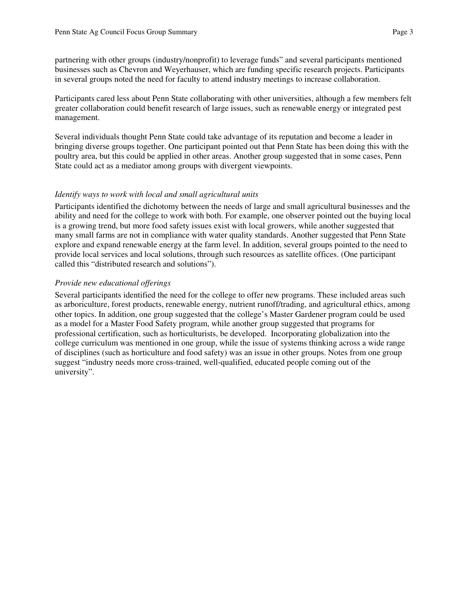partnering with other groups (industry/nonprofit) to leverage funds" and several participants mentioned

businesses such as Chevron and Weyerhauser, which are funding specific research projects. Participants in several groups noted the need for faculty to attend industry meetings to increase collaboration.

Participants cared less about Penn State collaborating with other universities, although a few members felt greater collaboration could benefit research of large issues, such as renewable energy or integrated pest management.

Several individuals thought Penn State could take advantage of its reputation and become a leader in bringing diverse groups together. One participant pointed out that Penn State has been doing this with the poultry area, but this could be applied in other areas. Another group suggested that in some cases, Penn State could act as a mediator among groups with divergent viewpoints.

## *Identify ways to work with local and small agricultural units*

Participants identified the dichotomy between the needs of large and small agricultural businesses and the ability and need for the college to work with both. For example, one observer pointed out the buying local is a growing trend, but more food safety issues exist with local growers, while another suggested that many small farms are not in compliance with water quality standards. Another suggested that Penn State explore and expand renewable energy at the farm level. In addition, several groups pointed to the need to provide local services and local solutions, through such resources as satellite offices. (One participant called this "distributed research and solutions").

# *Provide new educational offerings*

Several participants identified the need for the college to offer new programs. These included areas such as arboriculture, forest products, renewable energy, nutrient runoff/trading, and agricultural ethics, among other topics. In addition, one group suggested that the college's Master Gardener program could be used as a model for a Master Food Safety program, while another group suggested that programs for professional certification, such as horticulturists, be developed. Incorporating globalization into the college curriculum was mentioned in one group, while the issue of systems thinking across a wide range of disciplines (such as horticulture and food safety) was an issue in other groups. Notes from one group suggest "industry needs more cross-trained, well-qualified, educated people coming out of the university".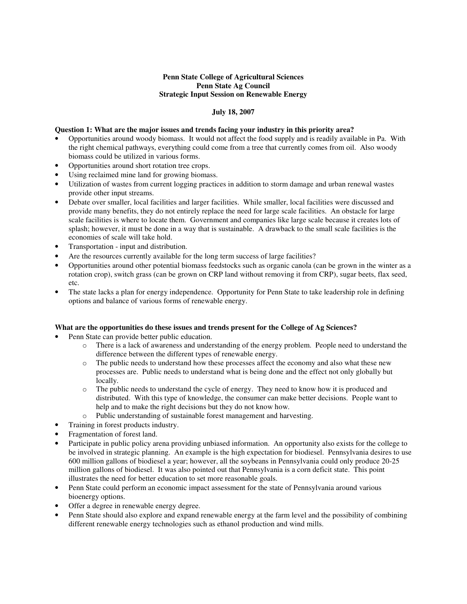## **Penn State College of Agricultural Sciences Penn State Ag Council Strategic Input Session on Renewable Energy**

### **July 18, 2007**

### **Question 1: What are the major issues and trends facing your industry in this priority area?**

- Opportunities around woody biomass. It would not affect the food supply and is readily available in Pa. With the right chemical pathways, everything could come from a tree that currently comes from oil. Also woody biomass could be utilized in various forms.
- Opportunities around short rotation tree crops.
- Using reclaimed mine land for growing biomass.
- Utilization of wastes from current logging practices in addition to storm damage and urban renewal wastes provide other input streams.
- Debate over smaller, local facilities and larger facilities. While smaller, local facilities were discussed and provide many benefits, they do not entirely replace the need for large scale facilities. An obstacle for large scale facilities is where to locate them. Government and companies like large scale because it creates lots of splash; however, it must be done in a way that is sustainable. A drawback to the small scale facilities is the economies of scale will take hold.
- Transportation input and distribution.
- Are the resources currently available for the long term success of large facilities?
- Opportunities around other potential biomass feedstocks such as organic canola (can be grown in the winter as a rotation crop), switch grass (can be grown on CRP land without removing it from CRP), sugar beets, flax seed, etc.
- The state lacks a plan for energy independence. Opportunity for Penn State to take leadership role in defining options and balance of various forms of renewable energy.

#### **What are the opportunities do these issues and trends present for the College of Ag Sciences?**

- Penn State can provide better public education.
	- o There is a lack of awareness and understanding of the energy problem. People need to understand the difference between the different types of renewable energy.
	- o The public needs to understand how these processes affect the economy and also what these new processes are. Public needs to understand what is being done and the effect not only globally but locally.
	- o The public needs to understand the cycle of energy. They need to know how it is produced and distributed. With this type of knowledge, the consumer can make better decisions. People want to help and to make the right decisions but they do not know how.
	- o Public understanding of sustainable forest management and harvesting.
	- Training in forest products industry.
- Fragmentation of forest land.
- Participate in public policy arena providing unbiased information. An opportunity also exists for the college to be involved in strategic planning. An example is the high expectation for biodiesel. Pennsylvania desires to use 600 million gallons of biodiesel a year; however, all the soybeans in Pennsylvania could only produce 20-25 million gallons of biodiesel. It was also pointed out that Pennsylvania is a corn deficit state. This point illustrates the need for better education to set more reasonable goals.
- Penn State could perform an economic impact assessment for the state of Pennsylvania around various bioenergy options.
- Offer a degree in renewable energy degree.
- Penn State should also explore and expand renewable energy at the farm level and the possibility of combining different renewable energy technologies such as ethanol production and wind mills.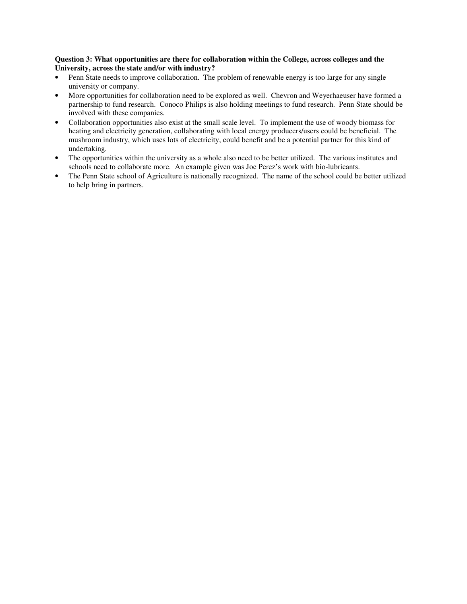### **Question 3: What opportunities are there for collaboration within the College, across colleges and the University, across the state and/or with industry?**

- Penn State needs to improve collaboration. The problem of renewable energy is too large for any single university or company.
- More opportunities for collaboration need to be explored as well. Chevron and Weyerhaeuser have formed a partnership to fund research. Conoco Philips is also holding meetings to fund research. Penn State should be involved with these companies.
- Collaboration opportunities also exist at the small scale level. To implement the use of woody biomass for heating and electricity generation, collaborating with local energy producers/users could be beneficial. The mushroom industry, which uses lots of electricity, could benefit and be a potential partner for this kind of undertaking.
- The opportunities within the university as a whole also need to be better utilized. The various institutes and schools need to collaborate more. An example given was Joe Perez's work with bio-lubricants.
- The Penn State school of Agriculture is nationally recognized. The name of the school could be better utilized to help bring in partners.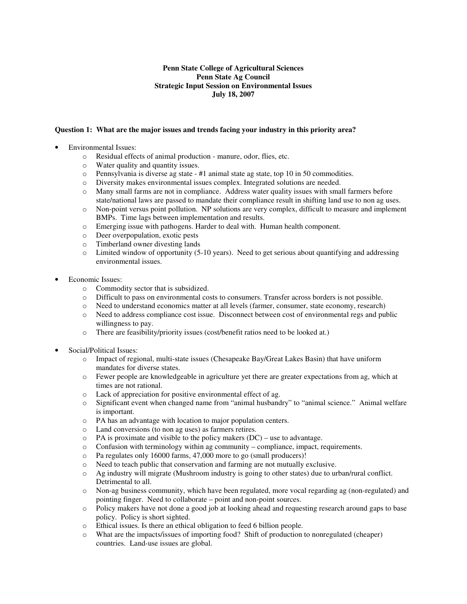## **Penn State College of Agricultural Sciences Penn State Ag Council Strategic Input Session on Environmental Issues July 18, 2007**

#### **Question 1: What are the major issues and trends facing your industry in this priority area?**

- Environmental Issues:
	- o Residual effects of animal production manure, odor, flies, etc.
	- o Water quality and quantity issues.
	- $\circ$  Pennsylvania is diverse ag state #1 animal state ag state, top 10 in 50 commodities.
	- o Diversity makes environmental issues complex. Integrated solutions are needed.
	- o Many small farms are not in compliance. Address water quality issues with small farmers before state/national laws are passed to mandate their compliance result in shifting land use to non ag uses.
	- o Non-point versus point pollution. NP solutions are very complex, difficult to measure and implement BMPs. Time lags between implementation and results.
	- o Emerging issue with pathogens. Harder to deal with. Human health component.
	- o Deer overpopulation, exotic pests
	- o Timberland owner divesting lands
	- $\circ$  Limited window of opportunity (5-10 years). Need to get serious about quantifying and addressing environmental issues.
- Economic Issues:
	- o Commodity sector that is subsidized.
	- o Difficult to pass on environmental costs to consumers. Transfer across borders is not possible.
	- o Need to understand economics matter at all levels (farmer, consumer, state economy, research)
	- o Need to address compliance cost issue. Disconnect between cost of environmental regs and public willingness to pay.
	- o There are feasibility/priority issues (cost/benefit ratios need to be looked at.)
- Social/Political Issues:
	- o Impact of regional, multi-state issues (Chesapeake Bay/Great Lakes Basin) that have uniform mandates for diverse states.
	- o Fewer people are knowledgeable in agriculture yet there are greater expectations from ag, which at times are not rational.
	- o Lack of appreciation for positive environmental effect of ag.
	- o Significant event when changed name from "animal husbandry" to "animal science." Animal welfare is important.
	- o PA has an advantage with location to major population centers.
	- o Land conversions (to non ag uses) as farmers retires.
	- PA is proximate and visible to the policy makers  $(DC)$  use to advantage.
	- $\circ$  Confusion with terminology within ag community compliance, impact, requirements.
	- o Pa regulates only 16000 farms, 47,000 more to go (small producers)!
	- o Need to teach public that conservation and farming are not mutually exclusive.
	- o Ag industry will migrate (Mushroom industry is going to other states) due to urban/rural conflict. Detrimental to all.
	- o Non-ag business community, which have been regulated, more vocal regarding ag (non-regulated) and pointing finger. Need to collaborate – point and non-point sources.
	- o Policy makers have not done a good job at looking ahead and requesting research around gaps to base policy. Policy is short sighted.
	- o Ethical issues. Is there an ethical obligation to feed 6 billion people.
	- o What are the impacts/issues of importing food? Shift of production to nonregulated (cheaper) countries. Land-use issues are global.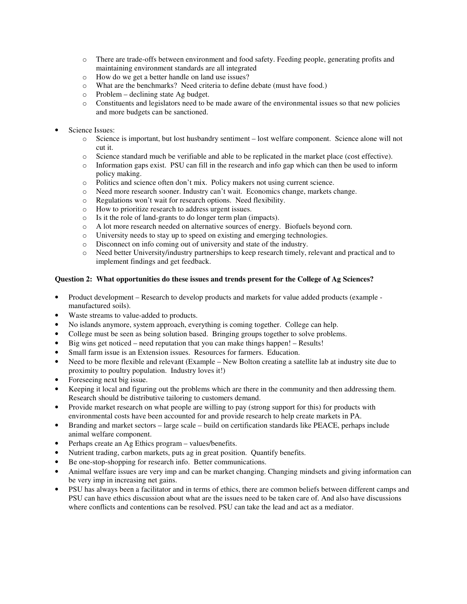- o There are trade-offs between environment and food safety. Feeding people, generating profits and maintaining environment standards are all integrated
- o How do we get a better handle on land use issues?
- o What are the benchmarks? Need criteria to define debate (must have food.)
- o Problem declining state Ag budget.
- o Constituents and legislators need to be made aware of the environmental issues so that new policies and more budgets can be sanctioned.
- Science Issues:
	- o Science is important, but lost husbandry sentiment lost welfare component. Science alone will not cut it.
	- $\circ$  Science standard much be verifiable and able to be replicated in the market place (cost effective).<br>Information gaps exist. PSU can fill in the research and info gap which can then be used to inform
	- Information gaps exist. PSU can fill in the research and info gap which can then be used to inform policy making.
	- o Politics and science often don't mix. Policy makers not using current science.
	- o Need more research sooner. Industry can't wait. Economics change, markets change.
	- o Regulations won't wait for research options. Need flexibility.
	- o How to prioritize research to address urgent issues.
	- o Is it the role of land-grants to do longer term plan (impacts).
	- o A lot more research needed on alternative sources of energy. Biofuels beyond corn.
	- o University needs to stay up to speed on existing and emerging technologies.
	- O Disconnect on info coming out of university and state of the industry.<br>  $\circ$  Need better University/industry partnerships to keep research timely.
	- Need better University/industry partnerships to keep research timely, relevant and practical and to implement findings and get feedback.

#### **Question 2: What opportunities do these issues and trends present for the College of Ag Sciences?**

- Product development Research to develop products and markets for value added products (example manufactured soils).
- Waste streams to value-added to products.
- No islands anymore, system approach, everything is coming together. College can help.
- College must be seen as being solution based. Bringing groups together to solve problems.
- Big wins get noticed need reputation that you can make things happen! Results!
- Small farm issue is an Extension issues. Resources for farmers. Education.
- Need to be more flexible and relevant (Example New Bolton creating a satellite lab at industry site due to proximity to poultry population. Industry loves it!)
- Foreseeing next big issue.
- Keeping it local and figuring out the problems which are there in the community and then addressing them. Research should be distributive tailoring to customers demand.
- Provide market research on what people are willing to pay (strong support for this) for products with environmental costs have been accounted for and provide research to help create markets in PA.
- Branding and market sectors large scale build on certification standards like PEACE, perhaps include animal welfare component.
- Perhaps create an Ag Ethics program values/benefits.
- Nutrient trading, carbon markets, puts ag in great position. Quantify benefits.
- Be one-stop-shopping for research info. Better communications.
- Animal welfare issues are very imp and can be market changing. Changing mindsets and giving information can be very imp in increasing net gains.
- PSU has always been a facilitator and in terms of ethics, there are common beliefs between different camps and PSU can have ethics discussion about what are the issues need to be taken care of. And also have discussions where conflicts and contentions can be resolved. PSU can take the lead and act as a mediator.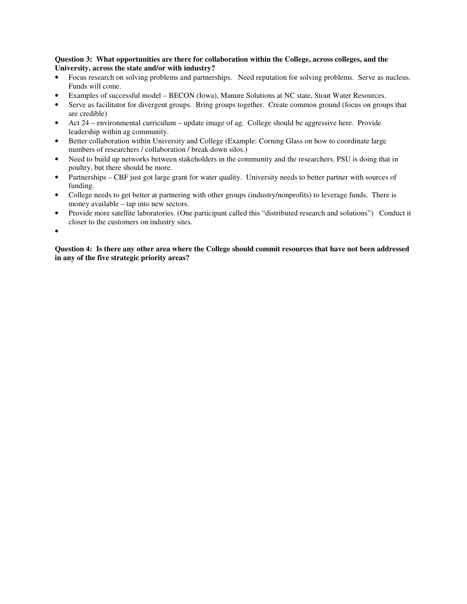### **Question 3: What opportunities are there for collaboration within the College, across colleges, and the University, across the state and/or with industry?**

- Focus research on solving problems and partnerships. Need reputation for solving problems. Serve as nucleus. Funds will come.
- Examples of successful model BECON (Iowa), Manure Solutions at NC state, Stout Water Resources.
- Serve as facilitator for divergent groups. Bring groups together. Create common ground (focus on groups that are credible)
- Act 24 environmental curriculum update image of ag. College should be aggressive here. Provide leadership within ag community.
- Better collaboration within University and College (Example: Corning Glass on how to coordinate large numbers of researchers / collaboration / break down silos.)
- Need to build up networks between stakeholders in the community and the researchers. PSU is doing that in poultry, but there should be more.
- Partnerships CBF just got large grant for water quality. University needs to better partner with sources of funding.
- College needs to get better at partnering with other groups (industry/nonprofits) to leverage funds. There is money available – tap into new sectors.
- Provide more satellite laboratories. (One participant called this "distributed research and solutions") Conduct it closer to the customers on industry sites.

•

**Question 4: Is there any other area where the College should commit resources that have not been addressed in any of the five strategic priority areas?**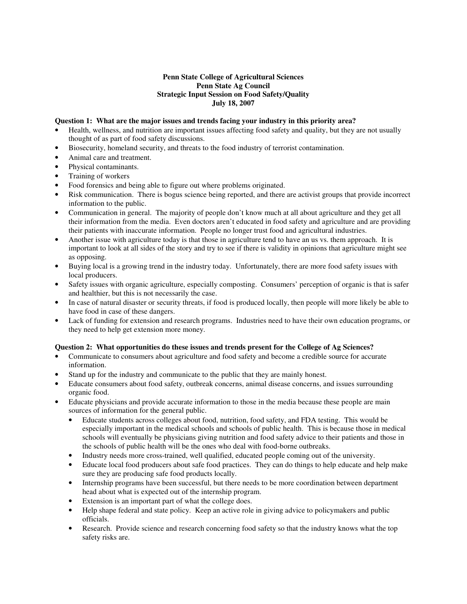#### **Penn State College of Agricultural Sciences Penn State Ag Council Strategic Input Session on Food Safety/Quality July 18, 2007**

#### **Question 1: What are the major issues and trends facing your industry in this priority area?**

- Health, wellness, and nutrition are important issues affecting food safety and quality, but they are not usually thought of as part of food safety discussions.
- Biosecurity, homeland security, and threats to the food industry of terrorist contamination.
- Animal care and treatment.
- Physical contaminants.
- Training of workers
- Food forensics and being able to figure out where problems originated.
- Risk communication. There is bogus science being reported, and there are activist groups that provide incorrect information to the public.
- Communication in general. The majority of people don't know much at all about agriculture and they get all their information from the media. Even doctors aren't educated in food safety and agriculture and are providing their patients with inaccurate information. People no longer trust food and agricultural industries.
- Another issue with agriculture today is that those in agriculture tend to have an us vs. them approach. It is important to look at all sides of the story and try to see if there is validity in opinions that agriculture might see as opposing.
- Buying local is a growing trend in the industry today. Unfortunately, there are more food safety issues with local producers.
- Safety issues with organic agriculture, especially composting. Consumers' perception of organic is that is safer and healthier, but this is not necessarily the case.
- In case of natural disaster or security threats, if food is produced locally, then people will more likely be able to have food in case of these dangers.
- Lack of funding for extension and research programs. Industries need to have their own education programs, or they need to help get extension more money.

#### **Question 2: What opportunities do these issues and trends present for the College of Ag Sciences?**

- Communicate to consumers about agriculture and food safety and become a credible source for accurate information.
- Stand up for the industry and communicate to the public that they are mainly honest.
- Educate consumers about food safety, outbreak concerns, animal disease concerns, and issues surrounding organic food.
- Educate physicians and provide accurate information to those in the media because these people are main sources of information for the general public.
	- Educate students across colleges about food, nutrition, food safety, and FDA testing. This would be especially important in the medical schools and schools of public health. This is because those in medical schools will eventually be physicians giving nutrition and food safety advice to their patients and those in the schools of public health will be the ones who deal with food-borne outbreaks.
	- Industry needs more cross-trained, well qualified, educated people coming out of the university.
	- Educate local food producers about safe food practices. They can do things to help educate and help make sure they are producing safe food products locally.
	- Internship programs have been successful, but there needs to be more coordination between department head about what is expected out of the internship program.
	- Extension is an important part of what the college does.
	- Help shape federal and state policy. Keep an active role in giving advice to policymakers and public officials.
	- Research. Provide science and research concerning food safety so that the industry knows what the top safety risks are.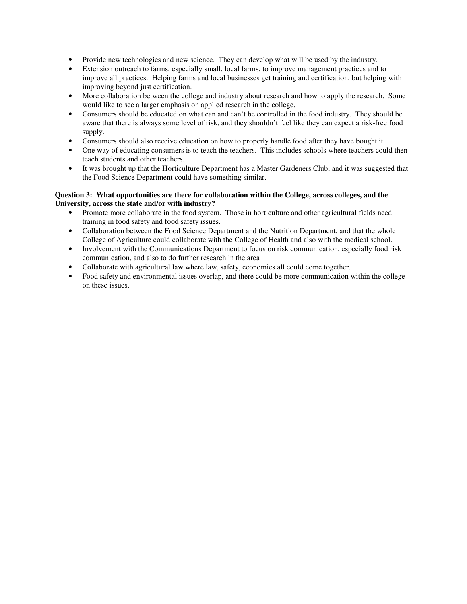- Provide new technologies and new science. They can develop what will be used by the industry.
- Extension outreach to farms, especially small, local farms, to improve management practices and to improve all practices. Helping farms and local businesses get training and certification, but helping with improving beyond just certification.
- More collaboration between the college and industry about research and how to apply the research. Some would like to see a larger emphasis on applied research in the college.
- Consumers should be educated on what can and can't be controlled in the food industry. They should be aware that there is always some level of risk, and they shouldn't feel like they can expect a risk-free food supply.
- Consumers should also receive education on how to properly handle food after they have bought it.
- One way of educating consumers is to teach the teachers. This includes schools where teachers could then teach students and other teachers.
- It was brought up that the Horticulture Department has a Master Gardeners Club, and it was suggested that the Food Science Department could have something similar.

### **Question 3: What opportunities are there for collaboration within the College, across colleges, and the University, across the state and/or with industry?**

- Promote more collaborate in the food system. Those in horticulture and other agricultural fields need training in food safety and food safety issues.
- Collaboration between the Food Science Department and the Nutrition Department, and that the whole College of Agriculture could collaborate with the College of Health and also with the medical school.
- Involvement with the Communications Department to focus on risk communication, especially food risk communication, and also to do further research in the area
- Collaborate with agricultural law where law, safety, economics all could come together.
- Food safety and environmental issues overlap, and there could be more communication within the college on these issues.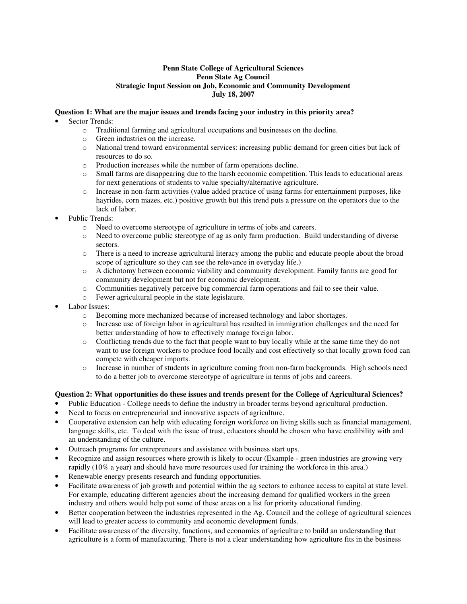## **Penn State College of Agricultural Sciences Penn State Ag Council Strategic Input Session on Job, Economic and Community Development July 18, 2007**

## **Question 1: What are the major issues and trends facing your industry in this priority area?**

- Sector Trends:
	- o Traditional farming and agricultural occupations and businesses on the decline.
	- o Green industries on the increase.
	- o National trend toward environmental services: increasing public demand for green cities but lack of resources to do so.
	- o Production increases while the number of farm operations decline.
	- o Small farms are disappearing due to the harsh economic competition. This leads to educational areas for next generations of students to value specialty/alternative agriculture.
	- o Increase in non-farm activities (value added practice of using farms for entertainment purposes, like hayrides, corn mazes, etc.) positive growth but this trend puts a pressure on the operators due to the lack of labor.
- Public Trends:
	- o Need to overcome stereotype of agriculture in terms of jobs and careers.
	- o Need to overcome public stereotype of ag as only farm production. Build understanding of diverse sectors.
	- o There is a need to increase agricultural literacy among the public and educate people about the broad scope of agriculture so they can see the relevance in everyday life.)
	- o A dichotomy between economic viability and community development. Family farms are good for community development but not for economic development.
	- o Communities negatively perceive big commercial farm operations and fail to see their value.
	- o Fewer agricultural people in the state legislature.
- Labor Issues:
	- o Becoming more mechanized because of increased technology and labor shortages.
	- o Increase use of foreign labor in agricultural has resulted in immigration challenges and the need for better understanding of how to effectively manage foreign labor.
	- o Conflicting trends due to the fact that people want to buy locally while at the same time they do not want to use foreign workers to produce food locally and cost effectively so that locally grown food can compete with cheaper imports.
	- o Increase in number of students in agriculture coming from non-farm backgrounds. High schools need to do a better job to overcome stereotype of agriculture in terms of jobs and careers.

### **Question 2: What opportunities do these issues and trends present for the College of Agricultural Sciences?**

- Public Education College needs to define the industry in broader terms beyond agricultural production.
- Need to focus on entrepreneurial and innovative aspects of agriculture.
- Cooperative extension can help with educating foreign workforce on living skills such as financial management, language skills, etc. To deal with the issue of trust, educators should be chosen who have credibility with and an understanding of the culture.
- Outreach programs for entrepreneurs and assistance with business start ups.
- Recognize and assign resources where growth is likely to occur (Example green industries are growing very rapidly (10% a year) and should have more resources used for training the workforce in this area.)
- Renewable energy presents research and funding opportunities.
- Facilitate awareness of job growth and potential within the ag sectors to enhance access to capital at state level. For example, educating different agencies about the increasing demand for qualified workers in the green industry and others would help put some of these areas on a list for priority educational funding.
- Better cooperation between the industries represented in the Ag. Council and the college of agricultural sciences will lead to greater access to community and economic development funds.
- Facilitate awareness of the diversity, functions, and economics of agriculture to build an understanding that agriculture is a form of manufacturing. There is not a clear understanding how agriculture fits in the business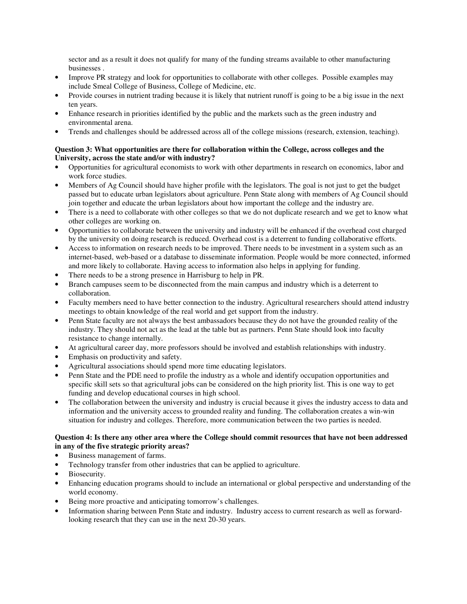sector and as a result it does not qualify for many of the funding streams available to other manufacturing businesses .

- Improve PR strategy and look for opportunities to collaborate with other colleges. Possible examples may include Smeal College of Business, College of Medicine, etc.
- Provide courses in nutrient trading because it is likely that nutrient runoff is going to be a big issue in the next ten years.
- Enhance research in priorities identified by the public and the markets such as the green industry and environmental arena.
- Trends and challenges should be addressed across all of the college missions (research, extension, teaching).

## **Question 3: What opportunities are there for collaboration within the College, across colleges and the University, across the state and/or with industry?**

- Opportunities for agricultural economists to work with other departments in research on economics, labor and work force studies.
- Members of Ag Council should have higher profile with the legislators. The goal is not just to get the budget passed but to educate urban legislators about agriculture. Penn State along with members of Ag Council should join together and educate the urban legislators about how important the college and the industry are.
- There is a need to collaborate with other colleges so that we do not duplicate research and we get to know what other colleges are working on.
- Opportunities to collaborate between the university and industry will be enhanced if the overhead cost charged by the university on doing research is reduced. Overhead cost is a deterrent to funding collaborative efforts.
- Access to information on research needs to be improved. There needs to be investment in a system such as an internet-based, web-based or a database to disseminate information. People would be more connected, informed and more likely to collaborate. Having access to information also helps in applying for funding.
- There needs to be a strong presence in Harrisburg to help in PR.
- Branch campuses seem to be disconnected from the main campus and industry which is a deterrent to collaboration.
- Faculty members need to have better connection to the industry. Agricultural researchers should attend industry meetings to obtain knowledge of the real world and get support from the industry.
- Penn State faculty are not always the best ambassadors because they do not have the grounded reality of the industry. They should not act as the lead at the table but as partners. Penn State should look into faculty resistance to change internally.
- At agricultural career day, more professors should be involved and establish relationships with industry.
- Emphasis on productivity and safety.
- Agricultural associations should spend more time educating legislators.
- Penn State and the PDE need to profile the industry as a whole and identify occupation opportunities and specific skill sets so that agricultural jobs can be considered on the high priority list. This is one way to get funding and develop educational courses in high school.
- The collaboration between the university and industry is crucial because it gives the industry access to data and information and the university access to grounded reality and funding. The collaboration creates a win-win situation for industry and colleges. Therefore, more communication between the two parties is needed.

### **Question 4: Is there any other area where the College should commit resources that have not been addressed in any of the five strategic priority areas?**

- Business management of farms.
- Technology transfer from other industries that can be applied to agriculture.
- Biosecurity.
- Enhancing education programs should to include an international or global perspective and understanding of the world economy.
- Being more proactive and anticipating tomorrow's challenges.
- Information sharing between Penn State and industry. Industry access to current research as well as forwardlooking research that they can use in the next 20-30 years.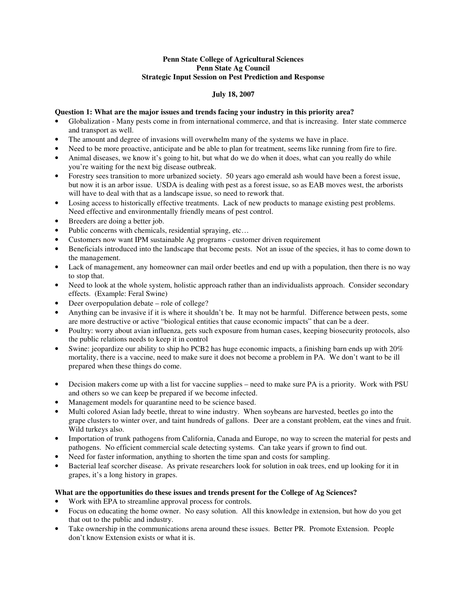### **Penn State College of Agricultural Sciences Penn State Ag Council Strategic Input Session on Pest Prediction and Response**

## **July 18, 2007**

### **Question 1: What are the major issues and trends facing your industry in this priority area?**

- Globalization Many pests come in from international commerce, and that is increasing. Inter state commerce and transport as well.
- The amount and degree of invasions will overwhelm many of the systems we have in place.
- Need to be more proactive, anticipate and be able to plan for treatment, seems like running from fire to fire.
- Animal diseases, we know it's going to hit, but what do we do when it does, what can you really do while you're waiting for the next big disease outbreak.
- Forestry sees transition to more urbanized society. 50 years ago emerald ash would have been a forest issue, but now it is an arbor issue. USDA is dealing with pest as a forest issue, so as EAB moves west, the arborists will have to deal with that as a landscape issue, so need to rework that.
- Losing access to historically effective treatments. Lack of new products to manage existing pest problems. Need effective and environmentally friendly means of pest control.
- Breeders are doing a better job.
- Public concerns with chemicals, residential spraying, etc...
- Customers now want IPM sustainable Ag programs customer driven requirement
- Beneficials introduced into the landscape that become pests. Not an issue of the species, it has to come down to the management.
- Lack of management, any homeowner can mail order beetles and end up with a population, then there is no way to stop that.
- Need to look at the whole system, holistic approach rather than an individualists approach. Consider secondary effects. (Example: Feral Swine)
- Deer overpopulation debate role of college?
- Anything can be invasive if it is where it shouldn't be. It may not be harmful. Difference between pests, some are more destructive or active "biological entities that cause economic impacts" that can be a deer.
- Poultry: worry about avian influenza, gets such exposure from human cases, keeping biosecurity protocols, also the public relations needs to keep it in control
- Swine: jeopardize our ability to ship ho PCB2 has huge economic impacts, a finishing barn ends up with 20% mortality, there is a vaccine, need to make sure it does not become a problem in PA. We don't want to be ill prepared when these things do come.
- Decision makers come up with a list for vaccine supplies need to make sure PA is a priority. Work with PSU and others so we can keep be prepared if we become infected.
- Management models for quarantine need to be science based.
- Multi colored Asian lady beetle, threat to wine industry. When soybeans are harvested, beetles go into the grape clusters to winter over, and taint hundreds of gallons. Deer are a constant problem, eat the vines and fruit. Wild turkeys also.
- Importation of trunk pathogens from California, Canada and Europe, no way to screen the material for pests and pathogens. No efficient commercial scale detecting systems. Can take years if grown to find out.
- Need for faster information, anything to shorten the time span and costs for sampling.
- Bacterial leaf scorcher disease. As private researchers look for solution in oak trees, end up looking for it in grapes, it's a long history in grapes.

#### **What are the opportunities do these issues and trends present for the College of Ag Sciences?**

- Work with EPA to streamline approval process for controls.
- Focus on educating the home owner. No easy solution. All this knowledge in extension, but how do you get that out to the public and industry.
- Take ownership in the communications arena around these issues. Better PR. Promote Extension. People don't know Extension exists or what it is.